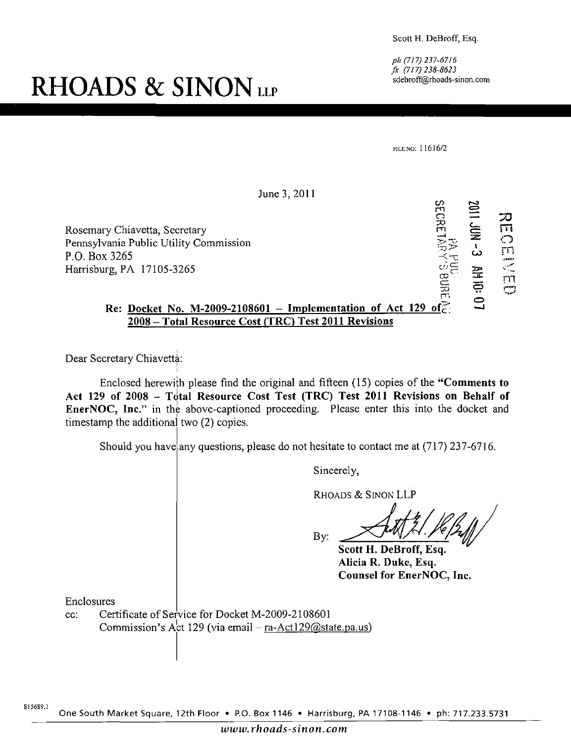Scott H. DeBroff, Esq.

ph (717)237-6716 fx (717)238-8623 sdebroff@rhoads-sinon.com

**RHOADS & SINON** LLP

FILE NO: 11616/2

June 3, 2011 Rosemary Chiavetta, Secretary Pennsylvania Public Utility Commission Harrisburg, PA 17105-3265 **2008 - Total Resource Cost (TRC) Test 2011 Revisions**   $\omega$  က চ<br>ব m 는 স্ট<br>ন  $\begin{array}{ccccc} \overline{C} & \overline{C} & \overline{C} & \overline{C} & \overline{C} & \overline{C} & \overline{C} & \overline{C} & \overline{C} & \overline{C} & \overline{C} & \overline{C} & \overline{C} & \overline{C} & \overline{C} & \overline{C} & \overline{C} & \overline{C} & \overline{C} & \overline{C} & \overline{C} & \overline{C} & \overline{C} & \overline{C} & \overline{C} & \overline{C} & \overline{C} & \overline{C} & \overline{C} & \overline{C} & \over$  $\tilde{\mathfrak{m}}$  $\geq$ a  $\subset$ m m **AH 10:**  $\Xi$ a Re: Docket No. M-2009-2108601 – Implementation of Act 129 of

Dear Secretary Chiavetta:

P.O. Box 3265

Enclosed herewith please find the original and fifteen (15) copies of the "Comments to Act 129 of 2008 - Total Resource Cost Test (TRC) Test 2011 Revisions on Behalf of EnerNOC, Inc." in the above-captioned proceeding. Please enter this into the docket and timestamp the additional two (2) copies.

Should you have any questions, please do not hesitate to contact me at (717) 237-6716.

Sincerely,

RHOADS & SINON LLP

By:

**Scott H. DeBroff, Esq. Alicia R. Duke, Esq. Counsel for EnerNOC, Inc.** 

Enclosures

cc: Certificate of Service for Docket M-2009-2108601 Commission's Act 129 (via email  $-$  ra-Act129@state.pa.us)

One South Market Square, 12th Floor • P.O. Box 1146 • Harrisburg, PA 17108-1146 • ph: 717.233.5731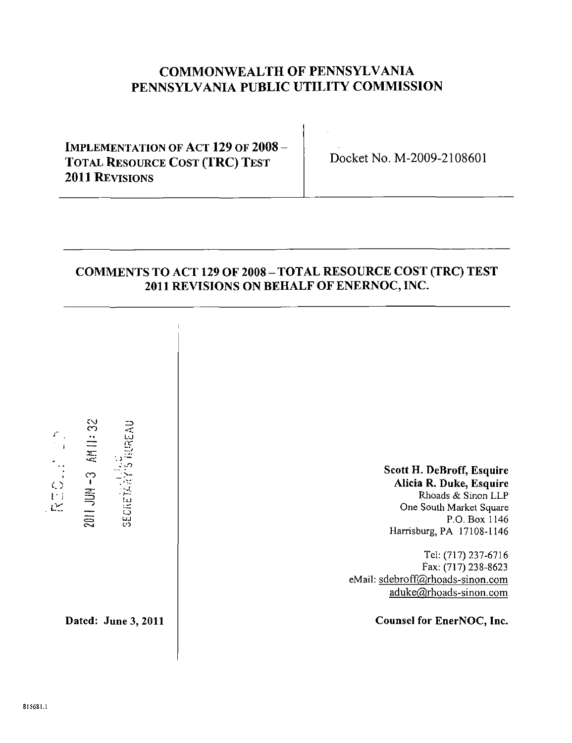## **COMMONWEALTH OF PENNSYLVANIA PENNSYLVANIA PUBLIC UTILITY COMMISSION**

**IMPLEMENTATION OF ACT 129 OF 2008 - TOTAL RESOURCE COST (TRC) TEST 2011 REVISIONS** 

**Docket No. M-2009-2108601** 

### **COMMENTS TO ACT 129 OF 2008 - TOTAL RESOURCE COST (TRC) TEST 2011 REVISIONS ON BEHALF OF ENERNOC, INC.**

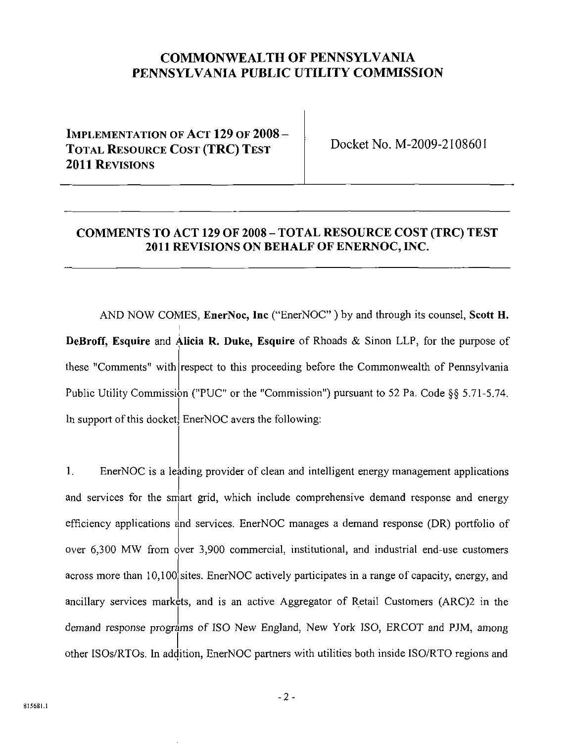### **COMMONWEALTH OF PENNSYLVANIA PENNSYLVANIA PUBLIC UTILITY COMMISSION**

## **IMPLEMENTATION OF ACT 129 OF 2008 - TOTAL RESOURCE COST (TRC) TEST 2011 REVISIONS**

**Docket No. M-2009-2108601** 

### **COMMENTS TO ACT 129 OF 2008 - TOTAL RESOURCE COST (TRC) TEST 2011 REVISIONS ON BEHALF OF ENERNOC, INC.**

**AND NOW COMES, EnerNoc, Inc ("EnerNOC" ) by and through its counsel, Scott H.**  DeBroff, Esquire and Alicia R. Duke, Esquire of Rhoads & Sinon LLP, for the purpose of DeBroff, Esquire and Alicia R. Duke, Esquire of Rhoads & Sinon LLP, for the purpose of these "Comments" with respect to this proceeding before the Commonwealth of Pennsylvania these "Comments" with respect to this proceeding before the Commonwealth of Pennsylvania Public Utility Commission ("PUC" or the "Commission") pursuant to 52 Pa. Code §§ 5.71-5.74. Public Utility Commission ("PUC" or the "Commission") pursuant to 52 Pa. Code §§ 5.71-5.74. In support of the following the following: Energy the following: Energy the following: Energy the following: E

1. EnerNOC is a leading provider of clean and intelligent energy management applications and services for the smart grid, which include comprehensive demand response and energy efficiency applications and services. EnerNOC manages a demand response (DR) portfolio of over 6,300 MW from over 3,900 commercial, institutional, and industrial end-use customers across more than 10,100 sites. EnerNOC actively participates in a range of capacity, energy, and ancillary services markets, and is an active Aggregator of Retail Customers (ARC)2 in the demand response programs of ISO New England, New York ISO, ERCOT and PJM, among other ISOs/RTOs. In addition, EnerNOC partners with utilities both inside ISO/RTO regions and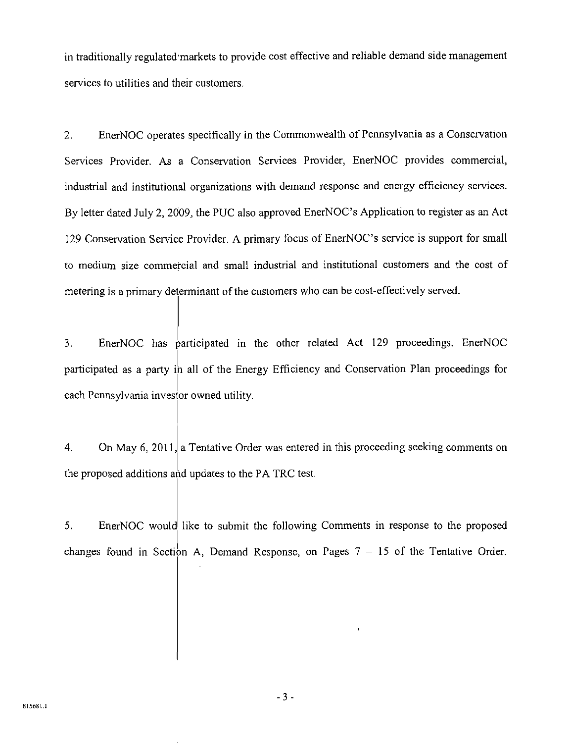in traditionally regulated'markets to provide cost effective and reliable demand side management services to utilities and their customers.

2. EnerNOC operates specifically in the Commonwealth of Pennsylvania as a Conservation Services Provider. As a Conservation Services Provider, EnerNOC provides commercial, industrial and institutional organizations with demand response and energy efficiency services. By letter dated July 2, 2009, the PUC also approved EnerNOC's Application to register as an Act 129 Conservation Service Provider. A primary focus of EnerNOC's service is support for small to medium size commercial and small industrial and institutional customers and the cost of metering is a primary determinant of the customers who can be cost-effectively served.

3. EnerNOC has participated in the other related Act 129 proceedings. EnerNOC participated as a party in all of the Energy Efficiency and Conservation Plan proceedings for each Pennsylvania investor owned utility.

4. On May 6, 2011, a Tentative Order was entered in this proceeding seeking comments on the proposed additions and updates to the PA TRC test.

5. EnerNOC would like to submit the following Comments in response to the proposed changes found in Section A, Demand Response, on Pages  $7 - 15$  of the Tentative Order.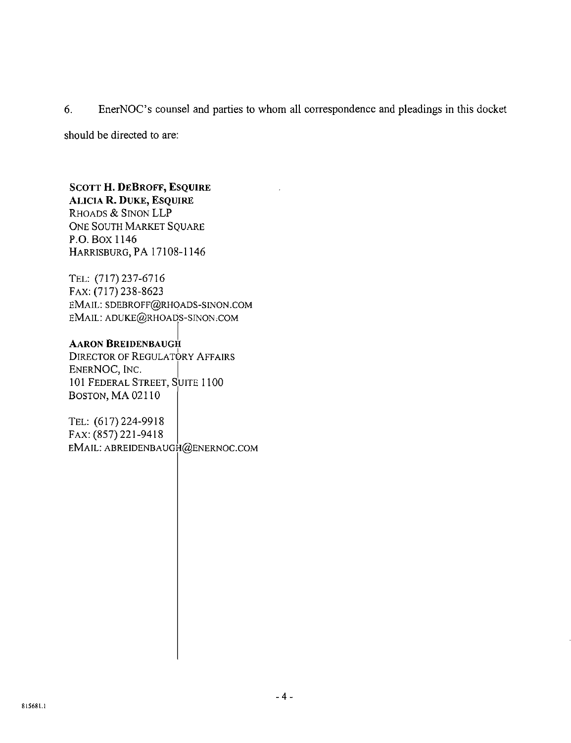6. EnerNOC's counsel and parties to whom all correspondence and pleadings in this docket

should be directed to are:

#### **SCOTT H. DEBROFF, ESQUIRE ALICIA R. DUKE, ESQUIRE**

RHOADS & SINON LLP ONE SOUTH MARKET SQUARE P.O. Box 1146 HARRISBURG, PA 17108-1146

TEL: (717)237-6716 FAX: (717) 238-8623 EMAIL: SDEBROFF@RHOADS-SINON.COM EMAIL: ADUKE@RHOADS-SINON.COM

#### **AARON BREIDENBAUGH**

DIRECTOR OF REGULATORY AFFAIRS ENERNOC, INC. 101 FEDERAL STREET, SUITE 1100 BOSTON, MA 02110

TEL: (617)224-9918 FAX:(857)221-9418 EMAIL: ABREIDENBAUGH@ENERNOC.COM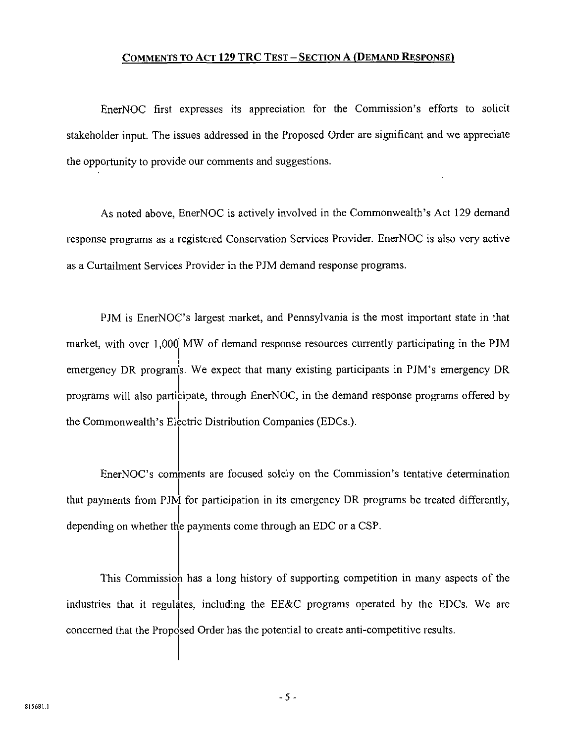#### COMMENTS TO ACT 129 TRC TEST - SECTION A (DEMAND RESPONSE)

EnerNOC first expresses its appreciation for the Commission's efforts to solicit stakeholder input. The issues addressed in the Proposed Order are significant and we appreciate the opportunity to provide our comments and suggestions.

As noted above, EnerNOC is actively involved in the Commonwealth's Act 129 demand response programs as a registered Conservation Services Provider. EnerNOC is also very active as a Curtailment Services Provider in the PJM demand response programs.

PJM is EnerNOC's largest market, and Pennsylvania is the most important state in that market, with over 1,000 MW of demand response resources currently participating in the PJM emergency DR programs. We expect that many existing participants in PJM's emergency DR programs will also participate, through EnerNOC, in the demand response programs offered by the Commonwealth's Electric Distribution Companies (EDCs.).

EnerNOC's comments are focused solely on the Commission's tentative determination that payments from PJM for participation in its emergency DR programs be treated differently, depending on whether the payments come through an EDC or a CSP.

This Commission has a long history of supporting competition in many aspects of the industries that it regulates, including the EE&C programs operated by the EDCs. We are concerned that the Proposed Order has the potential to create anti-competitive results.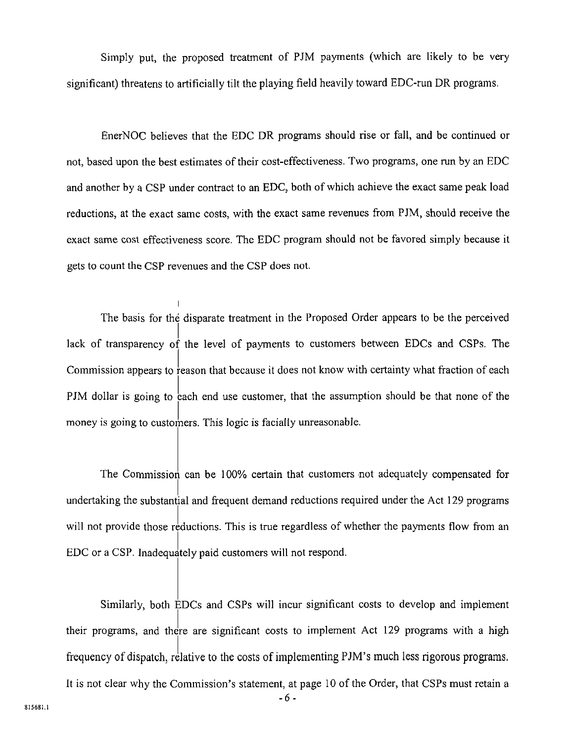Simply put, the proposed treatment of PJM payments (which are likely to be very significant) threatens to artificially tilt the playing field heavily toward EDC-run DR programs.

EnerNOC believes that the EDC DR programs should rise or fall, and be continued or not, based upon the best estimates of their cost-effectiveness. Two programs, one run by an EDC and another by a CSP under contract to an EDC, both of which achieve the exact same peak load reductions, at the exact same costs, with the exact same revenues from PJM, should receive the exact same cost effectiveness score. The EDC program should not be favored simply because it gets to count the CSP revenues and the CSP does not.

The basis for the disparate treatment in the Proposed Order appears to be the perceived lack of transparency of the level of payments to customers between EDCs and CSPs. The Commission appears to reason that because it does not know with certainty what fraction of each PJM dollar is going to each end use customer, that the assumption should be that none of the money is going to customers. This logic is facially unreasonable.

The Commission can be 100% certain that customers not adequately compensated for undertaking the substantial and frequent demand reductions required under the Act 129 programs will not provide those reductions. This is true regardless of whether the payments flow from an EDC or a CSP. Inadequately paid customers will not respond.

Similarly, both EDCs and CSPs will incur significant costs to develop and implement their programs, and there are significant costs to implement Act 129 programs with a high frequency of dispatch, relative to the costs of implementing PJM's much less rigorous programs.

It is not clear why the Commission's statement, at page 10 of the Order, that CSPs must retain a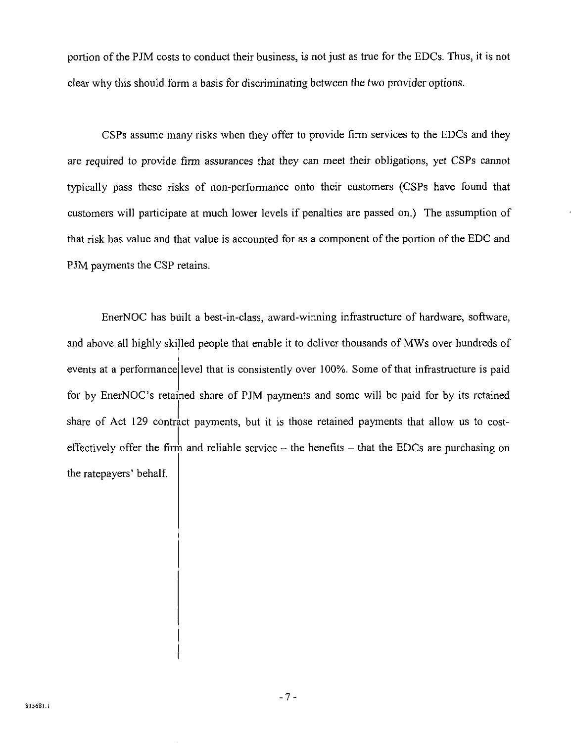portion of the PJM costs to conduct their business, is not just as true for the EDCs. Thus, it is not clear why this should form a basis for discriminating between the two provider options.

CSPs assume many risks when they offer to provide firm services to the EDCs and they are required to provide firm assurances that they can meet their obligations, yet CSPs cannot typically pass these risks of non-performance onto their customers (CSPs have found that customers will participate at much lower levels if penalties are passed on.) The assumption of that risk has value and that value is accounted for as a component of the portion of the EDC and PJM payments the CSP retains.

EnerNOC has built a best-in-class, award-winning infrastructure of hardware, software, and above all highly skilled people that enable it to deliver thousands of MWs over hundreds of events at a performance level that is consistently over 100%. Some of that infrastructure is paid for by EnerNOC's retained share of PJM payments and some will be paid for by its retained share of Act 129 contract payments, but it is those retained payments that allow us to costeffectively offer the firm and reliable service  $\div$  the benefits  $-$  that the EDCs are purchasing on the ratepayers' behalf.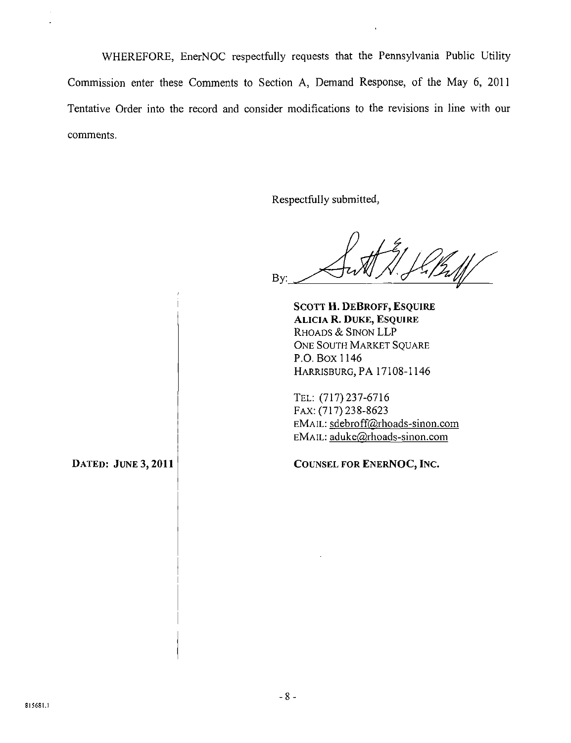WHEREFORE, EnerNOC respectfully requests that the Pennsylvania Public Utility Commission enter these Comments to Section A, Demand Response, of the May 6, 2011 Tentative Order into the record and consider modifications to the revisions in line with our comments.

Respectfully submitted.

By:

**SCOTT H. DEBROFF, ESQUIRE ALICIA R. DUKE, ESQUIRE**  RHOADS & SINON LLP ONE SOUTH MARKET SQUARE P.O. Box 1146 HARRISBURG, PA 17108-1146

TEL: (717)237-6716 FAX: (717) 238-8623 EMAIL: sdebroff@rhoads-sinon.com EMAIL: aduke@rhoads-sinon.com

**DATED: JUNE 3,2011** 

**COUNSEL FOR ENERNOC, INC.**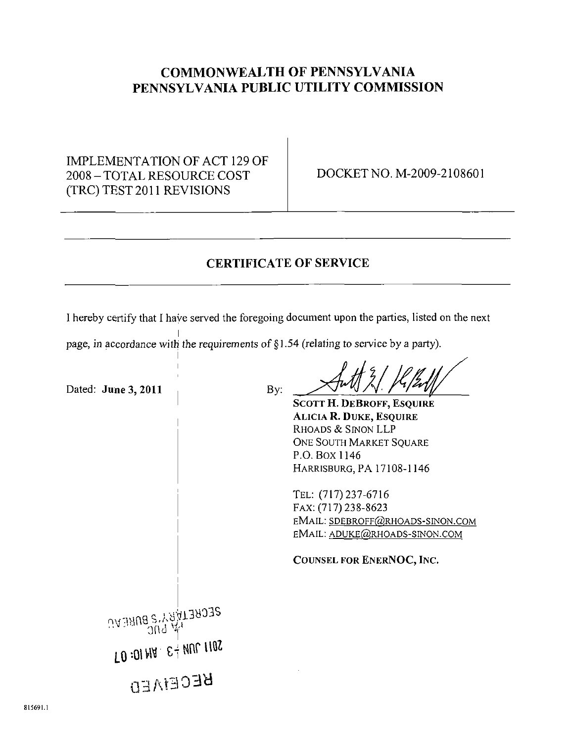## **COMMONWEALTH OF PENNSYLVANIA PENNSYLVANIA PUBLIC UTILITY COMMISSION**

IMPLEMENTATION OF ACT 129 OF 2008 - TOTAL RESOURCE COST (TRC) TEST 2011 REVISIONS

DOCKET NO. M-2009-2108601

### CERTIFICATE OF SERVICE

I hereby certify that I have served the foregoing document upon the parties, listed on the next

page, in accordance with the requirements of §1.54 (relating to service by a party).

**Dated: June 3, 2011 By:**  SCOTT H. DEBROFF, ESQUIRE ALICIA R. DUKE, ESQUIRE RHOADS & SINON LLP ONE SOUTH MARKET SOUARE P.O. Box 1146 HARRISBURG, PA 17108-1146 TEL: (717)237-6716 FAX: (717) 238-8623 EMAIL: SDEBROFF@RHOADS-SINON.COM EMAIL: ADUKE@RHOADS-SINON.COM COUNSEL FOR ENERNOC, INC. **SECRE1WRAS BUREAU**  $300 \,$   $\%$  $\Gamma$ 0:01 MA  $\cdot$   $\varepsilon$   $\frac{1}{3}$  MUL 110S **BECEMED**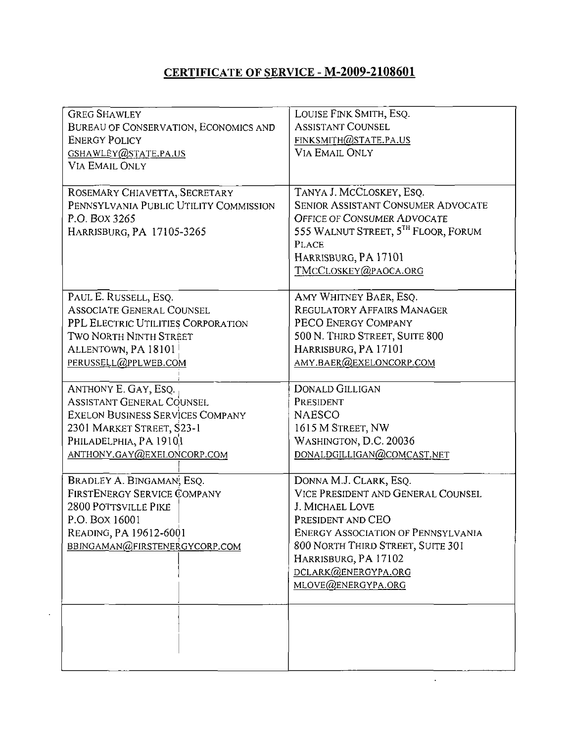# **CERTIFICATE OF SERVICE - M-2009-2108601**

| <b>GREG SHAWLEY</b><br>BUREAU OF CONSERVATION, ECONOMICS AND<br><b>ENERGY POLICY</b><br>GSHAWLEY@STATE.PA.US<br><b>VIA EMAIL ONLY</b>                                               | LOUISE FINK SMITH, ESQ.<br><b>ASSISTANT COUNSEL</b><br>FINKSMITH@STATE.PA.US<br><b>VIA EMAIL ONLY</b>                                                                                                                                                       |
|-------------------------------------------------------------------------------------------------------------------------------------------------------------------------------------|-------------------------------------------------------------------------------------------------------------------------------------------------------------------------------------------------------------------------------------------------------------|
| ROSEMARY CHIAVETTA, SECRETARY<br>PENNSYLVANIA PUBLIC UTILITY COMMISSION<br>P.O. BOX 3265<br>HARRISBURG, PA 17105-3265                                                               | TANYA J. MCCLOSKEY, ESQ.<br><b>SENIOR ASSISTANT CONSUMER ADVOCATE</b><br><b>OFFICE OF CONSUMER ADVOCATE</b><br>555 WALNUT STREET, 5TH FLOOR, FORUM<br><b>PLACE</b><br>HARRISBURG, PA 17101<br>TMCCLOSKEY@PAOCA.ORG                                          |
| PAUL E. RUSSELL, ESQ.<br><b>ASSOCIATE GENERAL COUNSEL</b><br>PPL ELECTRIC UTILITIES CORPORATION<br>TWO NORTH NINTH STREET<br>ALLENTOWN, PA 18101<br>PERUSSELL@PPLWEB.COM            | AMY WHITNEY BAER, ESQ.<br><b>REGULATORY AFFAIRS MANAGER</b><br>PECO ENERGY COMPANY<br>500 N. THIRD STREET, SUITE 800<br>HARRISBURG, PA 17101<br>AMY.BAER@EXELONCORP.COM                                                                                     |
| ANTHONY E. GAY, ESQ.<br>Assistant General Counsel<br><b>EXELON BUSINESS SERVICES COMPANY</b><br>2301 MARKET STREET, S23-1<br>PHILADELPHIA, PA 1910,1<br>ANTHONY.GAY(@EXELONCORP.COM | <b>DONALD GILLIGAN</b><br>PRESIDENT<br><b>NAESCO</b><br>1615 M STREET, NW<br>WASHINGTON, D.C. 20036<br>DONALDGILLIGAN@COMCAST.NET                                                                                                                           |
| BRADLEY A. BINGAMAN, ESQ.<br>FIRSTENERGY SERVICE COMPANY<br>2800 POTTSVILLE PIKE<br>P.O. Box 16001<br>Reading, PA 19612-6001<br>BBINGAMAN@FIRSTENERGYCORP.COM                       | DONNA M.J. CLARK, ESQ.<br>VICE PRESIDENT AND GENERAL COUNSEL<br>J. MICHAEL LOVE<br>PRESIDENT AND CEO<br><b>ENERGY ASSOCIATION OF PENNSYLVANIA</b><br>800 NORTH THIRD STREET, SUITE 301<br>HARRISBURG, PA 17102<br>DCLARK@ENERGYPA.ORG<br>MLOVE@ENERGYPA.ORG |
|                                                                                                                                                                                     |                                                                                                                                                                                                                                                             |

 $\mathbb{Z}^2$ 

J.